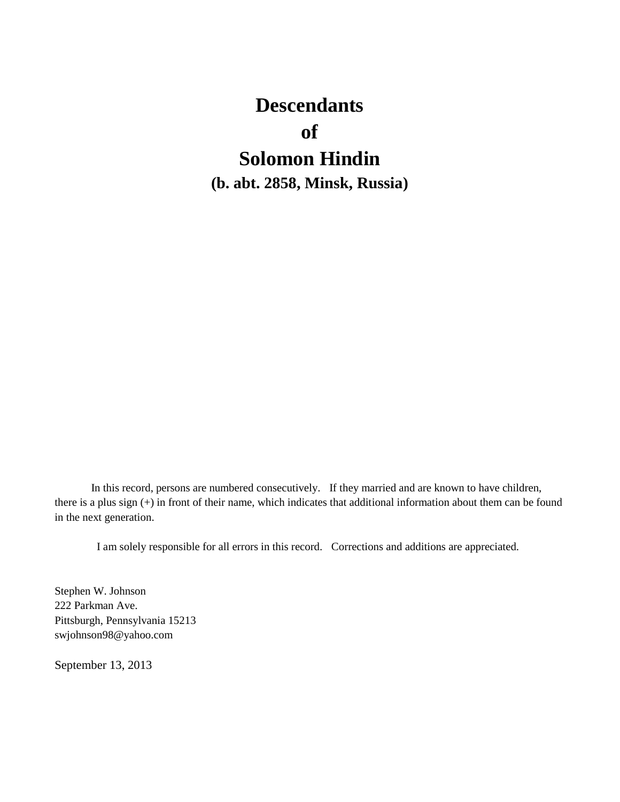# **Descendants of Solomon Hindin (b. abt. 2858, Minsk, Russia)**

In this record, persons are numbered consecutively. If they married and are known to have children, there is a plus sign (+) in front of their name, which indicates that additional information about them can be found in the next generation.

I am solely responsible for all errors in this record. Corrections and additions are appreciated.

Stephen W. Johnson 222 Parkman Ave. Pittsburgh, Pennsylvania 15213 swjohnson98@yahoo.com

September 13, 2013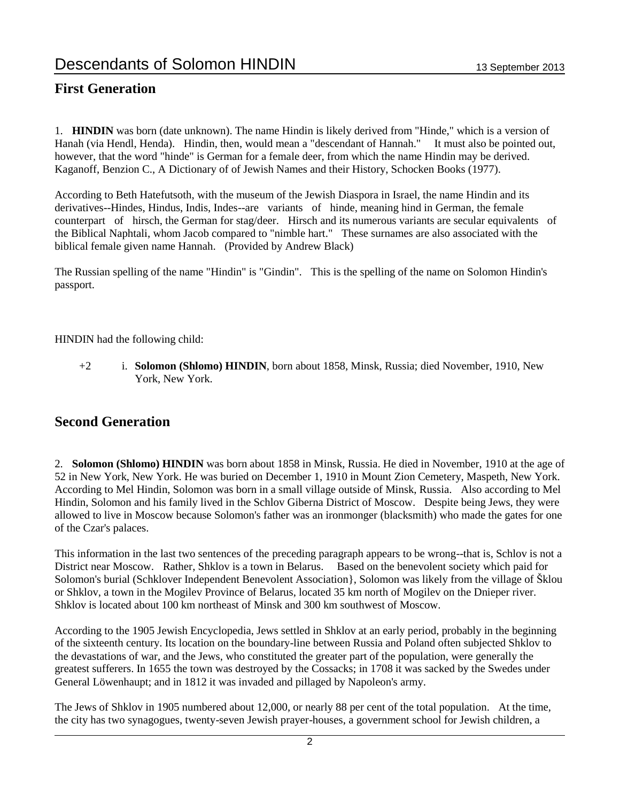### **First Generation**

1. **HINDIN** was born (date unknown). The name Hindin is likely derived from "Hinde," which is a version of Hanah (via Hendl, Henda). Hindin, then, would mean a "descendant of Hannah." It must also be pointed out, however, that the word "hinde" is German for a female deer, from which the name Hindin may be derived. Kaganoff, Benzion C., A Dictionary of of Jewish Names and their History, Schocken Books (1977).

According to Beth Hatefutsoth, with the museum of the Jewish Diaspora in Israel, the name Hindin and its derivatives--Hindes, Hindus, Indis, Indes--are variants of hinde, meaning hind in German, the female counterpart of hirsch, the German for stag/deer. Hirsch and its numerous variants are secular equivalents of the Biblical Naphtali, whom Jacob compared to "nimble hart." These surnames are also associated with the biblical female given name Hannah. (Provided by Andrew Black)

The Russian spelling of the name "Hindin" is "Gindin". This is the spelling of the name on Solomon Hindin's passport.

HINDIN had the following child:

+2 i. **Solomon (Shlomo) HINDIN**, born about 1858, Minsk, Russia; died November, 1910, New York, New York.

### **Second Generation**

2. **Solomon (Shlomo) HINDIN** was born about 1858 in Minsk, Russia. He died in November, 1910 at the age of 52 in New York, New York. He was buried on December 1, 1910 in Mount Zion Cemetery, Maspeth, New York. According to Mel Hindin, Solomon was born in a small village outside of Minsk, Russia. Also according to Mel Hindin, Solomon and his family lived in the Schlov Giberna District of Moscow. Despite being Jews, they were allowed to live in Moscow because Solomon's father was an ironmonger (blacksmith) who made the gates for one of the Czar's palaces.

This information in the last two sentences of the preceding paragraph appears to be wrong--that is, Schlov is not a District near Moscow. Rather, Shklov is a town in Belarus. Based on the benevolent society which paid for Solomon's burial (Schklover Independent Benevolent Association}, Solomon was likely from the village of Šklou or Shklov, a town in the Mogilev Province of Belarus, located 35 km north of Mogilev on the Dnieper river. Shklov is located about 100 km northeast of Minsk and 300 km southwest of Moscow.

According to the 1905 Jewish Encyclopedia, Jews settled in Shklov at an early period, probably in the beginning of the sixteenth century. Its location on the boundary-line between Russia and Poland often subjected Shklov to the devastations of war, and the Jews, who constituted the greater part of the population, were generally the greatest sufferers. In 1655 the town was destroyed by the Cossacks; in 1708 it was sacked by the Swedes under General Löwenhaupt; and in 1812 it was invaded and pillaged by Napoleon's army.

The Jews of Shklov in 1905 numbered about 12,000, or nearly 88 per cent of the total population. At the time, the city has two synagogues, twenty-seven Jewish prayer-houses, a government school for Jewish children, a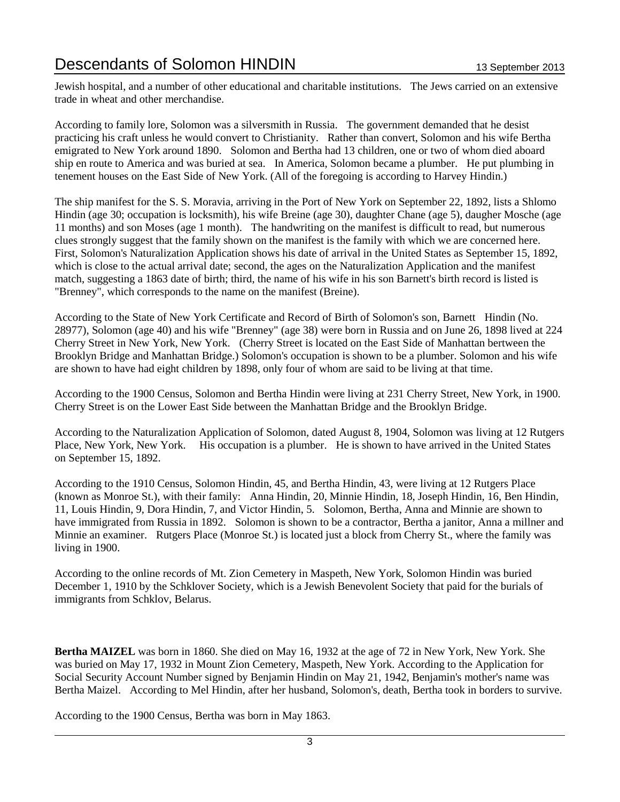Jewish hospital, and a number of other educational and charitable institutions. The Jews carried on an extensive trade in wheat and other merchandise.

According to family lore, Solomon was a silversmith in Russia. The government demanded that he desist practicing his craft unless he would convert to Christianity. Rather than convert, Solomon and his wife Bertha emigrated to New York around 1890. Solomon and Bertha had 13 children, one or two of whom died aboard ship en route to America and was buried at sea. In America, Solomon became a plumber. He put plumbing in tenement houses on the East Side of New York. (All of the foregoing is according to Harvey Hindin.)

The ship manifest for the S. S. Moravia, arriving in the Port of New York on September 22, 1892, lists a Shlomo Hindin (age 30; occupation is locksmith), his wife Breine (age 30), daughter Chane (age 5), daugher Mosche (age 11 months) and son Moses (age 1 month). The handwriting on the manifest is difficult to read, but numerous clues strongly suggest that the family shown on the manifest is the family with which we are concerned here. First, Solomon's Naturalization Application shows his date of arrival in the United States as September 15, 1892, which is close to the actual arrival date; second, the ages on the Naturalization Application and the manifest match, suggesting a 1863 date of birth; third, the name of his wife in his son Barnett's birth record is listed is "Brenney", which corresponds to the name on the manifest (Breine).

According to the State of New York Certificate and Record of Birth of Solomon's son, Barnett Hindin (No. 28977), Solomon (age 40) and his wife "Brenney" (age 38) were born in Russia and on June 26, 1898 lived at 224 Cherry Street in New York, New York. (Cherry Street is located on the East Side of Manhattan bertween the Brooklyn Bridge and Manhattan Bridge.) Solomon's occupation is shown to be a plumber. Solomon and his wife are shown to have had eight children by 1898, only four of whom are said to be living at that time.

According to the 1900 Census, Solomon and Bertha Hindin were living at 231 Cherry Street, New York, in 1900. Cherry Street is on the Lower East Side between the Manhattan Bridge and the Brooklyn Bridge.

According to the Naturalization Application of Solomon, dated August 8, 1904, Solomon was living at 12 Rutgers Place, New York, New York. His occupation is a plumber. He is shown to have arrived in the United States on September 15, 1892.

According to the 1910 Census, Solomon Hindin, 45, and Bertha Hindin, 43, were living at 12 Rutgers Place (known as Monroe St.), with their family: Anna Hindin, 20, Minnie Hindin, 18, Joseph Hindin, 16, Ben Hindin, 11, Louis Hindin, 9, Dora Hindin, 7, and Victor Hindin, 5. Solomon, Bertha, Anna and Minnie are shown to have immigrated from Russia in 1892. Solomon is shown to be a contractor, Bertha a janitor, Anna a millner and Minnie an examiner. Rutgers Place (Monroe St.) is located just a block from Cherry St., where the family was living in 1900.

According to the online records of Mt. Zion Cemetery in Maspeth, New York, Solomon Hindin was buried December 1, 1910 by the Schklover Society, which is a Jewish Benevolent Society that paid for the burials of immigrants from Schklov, Belarus.

**Bertha MAIZEL** was born in 1860. She died on May 16, 1932 at the age of 72 in New York, New York. She was buried on May 17, 1932 in Mount Zion Cemetery, Maspeth, New York. According to the Application for Social Security Account Number signed by Benjamin Hindin on May 21, 1942, Benjamin's mother's name was Bertha Maizel. According to Mel Hindin, after her husband, Solomon's, death, Bertha took in borders to survive.

According to the 1900 Census, Bertha was born in May 1863.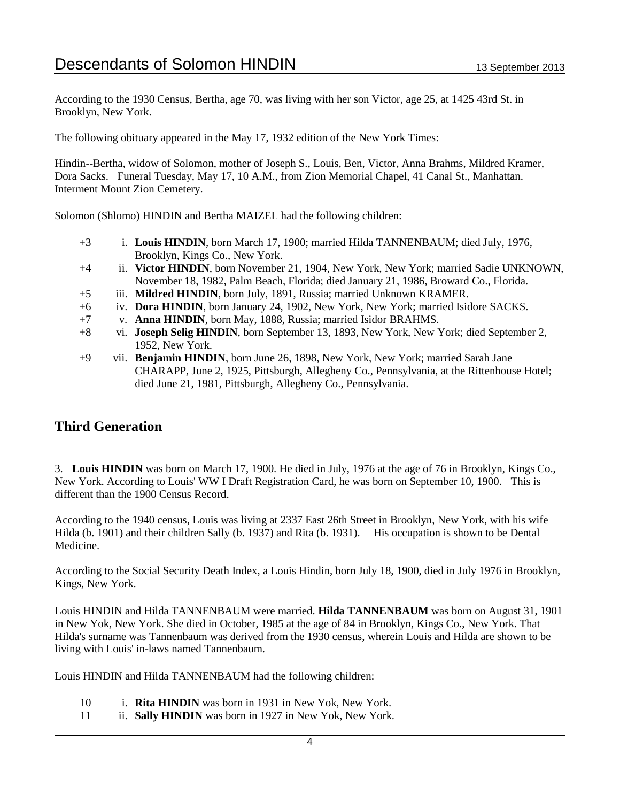According to the 1930 Census, Bertha, age 70, was living with her son Victor, age 25, at 1425 43rd St. in Brooklyn, New York.

The following obituary appeared in the May 17, 1932 edition of the New York Times:

Hindin--Bertha, widow of Solomon, mother of Joseph S., Louis, Ben, Victor, Anna Brahms, Mildred Kramer, Dora Sacks. Funeral Tuesday, May 17, 10 A.M., from Zion Memorial Chapel, 41 Canal St., Manhattan. Interment Mount Zion Cemetery.

Solomon (Shlomo) HINDIN and Bertha MAIZEL had the following children:

- +3 i. **Louis HINDIN**, born March 17, 1900; married Hilda TANNENBAUM; died July, 1976, Brooklyn, Kings Co., New York.
- +4 ii. **Victor HINDIN**, born November 21, 1904, New York, New York; married Sadie UNKNOWN, November 18, 1982, Palm Beach, Florida; died January 21, 1986, Broward Co., Florida.
- +5 iii. **Mildred HINDIN**, born July, 1891, Russia; married Unknown KRAMER.
- +6 iv. **Dora HINDIN**, born January 24, 1902, New York, New York; married Isidore SACKS.
- +7 v. **Anna HINDIN**, born May, 1888, Russia; married Isidor BRAHMS.
- +8 vi. **Joseph Selig HINDIN**, born September 13, 1893, New York, New York; died September 2, 1952, New York.
- +9 vii. **Benjamin HINDIN**, born June 26, 1898, New York, New York; married Sarah Jane CHARAPP, June 2, 1925, Pittsburgh, Allegheny Co., Pennsylvania, at the Rittenhouse Hotel; died June 21, 1981, Pittsburgh, Allegheny Co., Pennsylvania.

### **Third Generation**

3. **Louis HINDIN** was born on March 17, 1900. He died in July, 1976 at the age of 76 in Brooklyn, Kings Co., New York. According to Louis' WW I Draft Registration Card, he was born on September 10, 1900. This is different than the 1900 Census Record.

According to the 1940 census, Louis was living at 2337 East 26th Street in Brooklyn, New York, with his wife Hilda (b. 1901) and their children Sally (b. 1937) and Rita (b. 1931). His occupation is shown to be Dental Medicine.

According to the Social Security Death Index, a Louis Hindin, born July 18, 1900, died in July 1976 in Brooklyn, Kings, New York.

Louis HINDIN and Hilda TANNENBAUM were married. **Hilda TANNENBAUM** was born on August 31, 1901 in New Yok, New York. She died in October, 1985 at the age of 84 in Brooklyn, Kings Co., New York. That Hilda's surname was Tannenbaum was derived from the 1930 census, wherein Louis and Hilda are shown to be living with Louis' in-laws named Tannenbaum.

Louis HINDIN and Hilda TANNENBAUM had the following children:

- 10 i. **Rita HINDIN** was born in 1931 in New Yok, New York.
- 11 ii. **Sally HINDIN** was born in 1927 in New Yok, New York.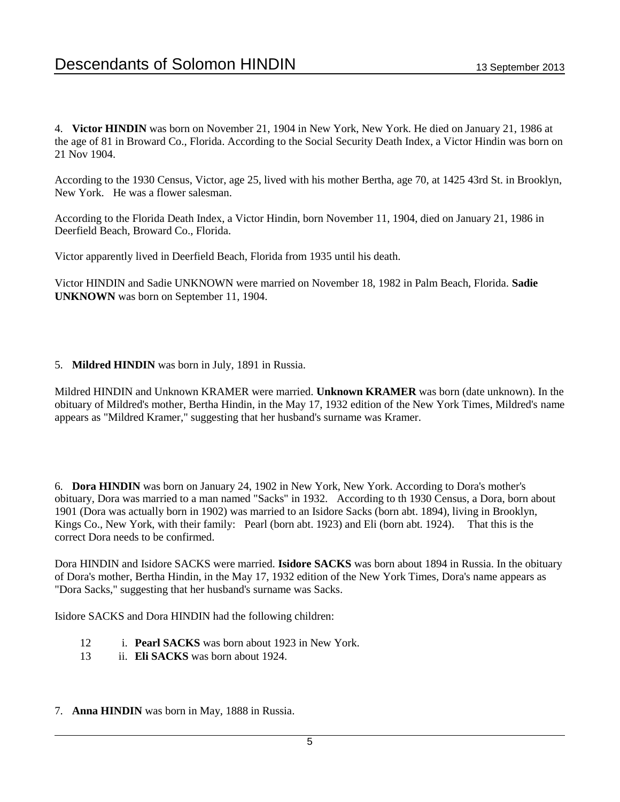4. **Victor HINDIN** was born on November 21, 1904 in New York, New York. He died on January 21, 1986 at the age of 81 in Broward Co., Florida. According to the Social Security Death Index, a Victor Hindin was born on 21 Nov 1904.

According to the 1930 Census, Victor, age 25, lived with his mother Bertha, age 70, at 1425 43rd St. in Brooklyn, New York. He was a flower salesman.

According to the Florida Death Index, a Victor Hindin, born November 11, 1904, died on January 21, 1986 in Deerfield Beach, Broward Co., Florida.

Victor apparently lived in Deerfield Beach, Florida from 1935 until his death.

Victor HINDIN and Sadie UNKNOWN were married on November 18, 1982 in Palm Beach, Florida. **Sadie UNKNOWN** was born on September 11, 1904.

#### 5. **Mildred HINDIN** was born in July, 1891 in Russia.

Mildred HINDIN and Unknown KRAMER were married. **Unknown KRAMER** was born (date unknown). In the obituary of Mildred's mother, Bertha Hindin, in the May 17, 1932 edition of the New York Times, Mildred's name appears as "Mildred Kramer," suggesting that her husband's surname was Kramer.

6. **Dora HINDIN** was born on January 24, 1902 in New York, New York. According to Dora's mother's obituary, Dora was married to a man named "Sacks" in 1932. According to th 1930 Census, a Dora, born about 1901 (Dora was actually born in 1902) was married to an Isidore Sacks (born abt. 1894), living in Brooklyn, Kings Co., New York, with their family: Pearl (born abt. 1923) and Eli (born abt. 1924). That this is the correct Dora needs to be confirmed.

Dora HINDIN and Isidore SACKS were married. **Isidore SACKS** was born about 1894 in Russia. In the obituary of Dora's mother, Bertha Hindin, in the May 17, 1932 edition of the New York Times, Dora's name appears as "Dora Sacks," suggesting that her husband's surname was Sacks.

Isidore SACKS and Dora HINDIN had the following children:

- 12 i. **Pearl SACKS** was born about 1923 in New York.
- 13 ii. **Eli SACKS** was born about 1924.
- 7. **Anna HINDIN** was born in May, 1888 in Russia.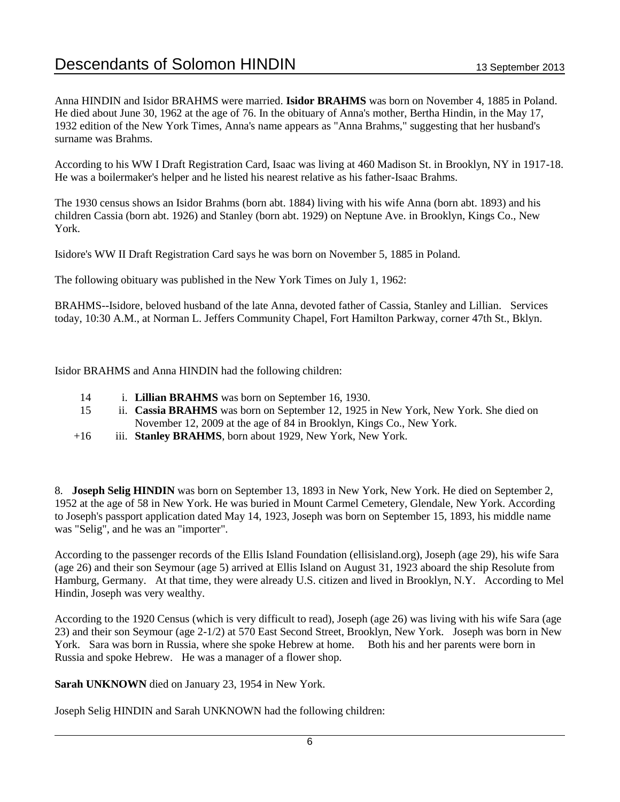Anna HINDIN and Isidor BRAHMS were married. **Isidor BRAHMS** was born on November 4, 1885 in Poland. He died about June 30, 1962 at the age of 76. In the obituary of Anna's mother, Bertha Hindin, in the May 17, 1932 edition of the New York Times, Anna's name appears as "Anna Brahms," suggesting that her husband's surname was Brahms.

According to his WW I Draft Registration Card, Isaac was living at 460 Madison St. in Brooklyn, NY in 1917-18. He was a boilermaker's helper and he listed his nearest relative as his father-Isaac Brahms.

The 1930 census shows an Isidor Brahms (born abt. 1884) living with his wife Anna (born abt. 1893) and his children Cassia (born abt. 1926) and Stanley (born abt. 1929) on Neptune Ave. in Brooklyn, Kings Co., New York.

Isidore's WW II Draft Registration Card says he was born on November 5, 1885 in Poland.

The following obituary was published in the New York Times on July 1, 1962:

BRAHMS--Isidore, beloved husband of the late Anna, devoted father of Cassia, Stanley and Lillian. Services today, 10:30 A.M., at Norman L. Jeffers Community Chapel, Fort Hamilton Parkway, corner 47th St., Bklyn.

Isidor BRAHMS and Anna HINDIN had the following children:

- 14 i. **Lillian BRAHMS** was born on September 16, 1930.
- 15 ii. **Cassia BRAHMS** was born on September 12, 1925 in New York, New York. She died on November 12, 2009 at the age of 84 in Brooklyn, Kings Co., New York.
- +16 iii. **Stanley BRAHMS**, born about 1929, New York, New York.

8. **Joseph Selig HINDIN** was born on September 13, 1893 in New York, New York. He died on September 2, 1952 at the age of 58 in New York. He was buried in Mount Carmel Cemetery, Glendale, New York. According to Joseph's passport application dated May 14, 1923, Joseph was born on September 15, 1893, his middle name was "Selig", and he was an "importer".

According to the passenger records of the Ellis Island Foundation (ellisisland.org), Joseph (age 29), his wife Sara (age 26) and their son Seymour (age 5) arrived at Ellis Island on August 31, 1923 aboard the ship Resolute from Hamburg, Germany. At that time, they were already U.S. citizen and lived in Brooklyn, N.Y. According to Mel Hindin, Joseph was very wealthy.

According to the 1920 Census (which is very difficult to read), Joseph (age 26) was living with his wife Sara (age 23) and their son Seymour (age 2-1/2) at 570 East Second Street, Brooklyn, New York. Joseph was born in New York. Sara was born in Russia, where she spoke Hebrew at home. Both his and her parents were born in Russia and spoke Hebrew. He was a manager of a flower shop.

**Sarah UNKNOWN** died on January 23, 1954 in New York.

Joseph Selig HINDIN and Sarah UNKNOWN had the following children: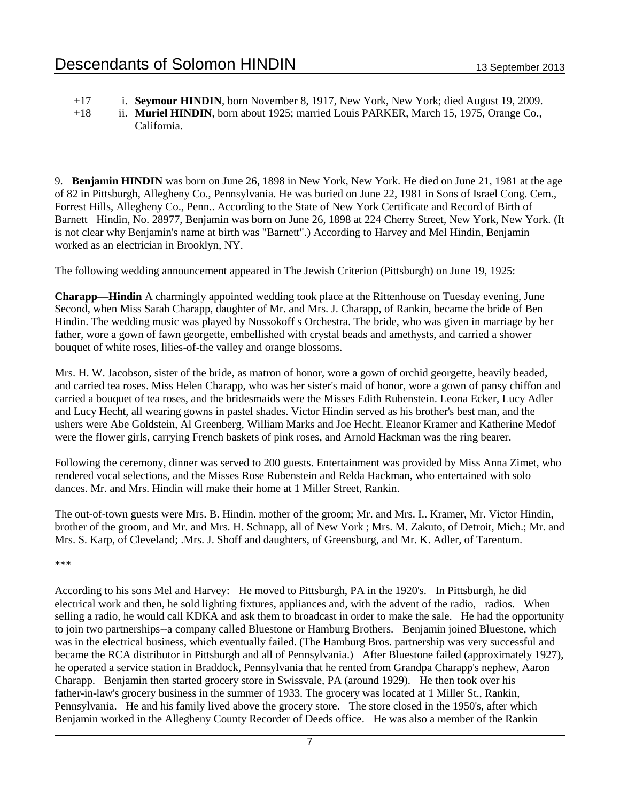+17 i. **Seymour HINDIN**, born November 8, 1917, New York, New York; died August 19, 2009.

+18 ii. **Muriel HINDIN**, born about 1925; married Louis PARKER, March 15, 1975, Orange Co., California.

9. **Benjamin HINDIN** was born on June 26, 1898 in New York, New York. He died on June 21, 1981 at the age of 82 in Pittsburgh, Allegheny Co., Pennsylvania. He was buried on June 22, 1981 in Sons of Israel Cong. Cem., Forrest Hills, Allegheny Co., Penn.. According to the State of New York Certificate and Record of Birth of Barnett Hindin, No. 28977, Benjamin was born on June 26, 1898 at 224 Cherry Street, New York, New York. (It is not clear why Benjamin's name at birth was "Barnett".) According to Harvey and Mel Hindin, Benjamin worked as an electrician in Brooklyn, NY.

The following wedding announcement appeared in The Jewish Criterion (Pittsburgh) on June 19, 1925:

**Charapp—Hindin** A charmingly appointed wedding took place at the Rittenhouse on Tuesday evening, June Second, when Miss Sarah Charapp, daughter of Mr. and Mrs. J. Charapp, of Rankin, became the bride of Ben Hindin. The wedding music was played by Nossokoff s Orchestra. The bride, who was given in marriage by her father, wore a gown of fawn georgette, embellished with crystal beads and amethysts, and carried a shower bouquet of white roses, lilies-of-the valley and orange blossoms.

Mrs. H. W. Jacobson, sister of the bride, as matron of honor, wore a gown of orchid georgette, heavily beaded, and carried tea roses. Miss Helen Charapp, who was her sister's maid of honor, wore a gown of pansy chiffon and carried a bouquet of tea roses, and the bridesmaids were the Misses Edith Rubenstein. Leona Ecker, Lucy Adler and Lucy Hecht, all wearing gowns in pastel shades. Victor Hindin served as his brother's best man, and the ushers were Abe Goldstein, Al Greenberg, William Marks and Joe Hecht. Eleanor Kramer and Katherine Medof were the flower girls, carrying French baskets of pink roses, and Arnold Hackman was the ring bearer.

Following the ceremony, dinner was served to 200 guests. Entertainment was provided by Miss Anna Zimet, who rendered vocal selections, and the Misses Rose Rubenstein and Relda Hackman, who entertained with solo dances. Mr. and Mrs. Hindin will make their home at 1 Miller Street, Rankin.

The out-of-town guests were Mrs. B. Hindin. mother of the groom; Mr. and Mrs. I.. Kramer, Mr. Victor Hindin, brother of the groom, and Mr. and Mrs. H. Schnapp, all of New York ; Mrs. M. Zakuto, of Detroit, Mich.; Mr. and Mrs. S. Karp, of Cleveland; .Mrs. J. Shoff and daughters, of Greensburg, and Mr. K. Adler, of Tarentum.

\*\*\*

According to his sons Mel and Harvey: He moved to Pittsburgh, PA in the 1920's. In Pittsburgh, he did electrical work and then, he sold lighting fixtures, appliances and, with the advent of the radio, radios. When selling a radio, he would call KDKA and ask them to broadcast in order to make the sale. He had the opportunity to join two partnerships--a company called Bluestone or Hamburg Brothers. Benjamin joined Bluestone, which was in the electrical business, which eventually failed. (The Hamburg Bros. partnership was very successful and became the RCA distributor in Pittsburgh and all of Pennsylvania.) After Bluestone failed (approximately 1927), he operated a service station in Braddock, Pennsylvania that he rented from Grandpa Charapp's nephew, Aaron Charapp. Benjamin then started grocery store in Swissvale, PA (around 1929). He then took over his father-in-law's grocery business in the summer of 1933. The grocery was located at 1 Miller St., Rankin, Pennsylvania. He and his family lived above the grocery store. The store closed in the 1950's, after which Benjamin worked in the Allegheny County Recorder of Deeds office. He was also a member of the Rankin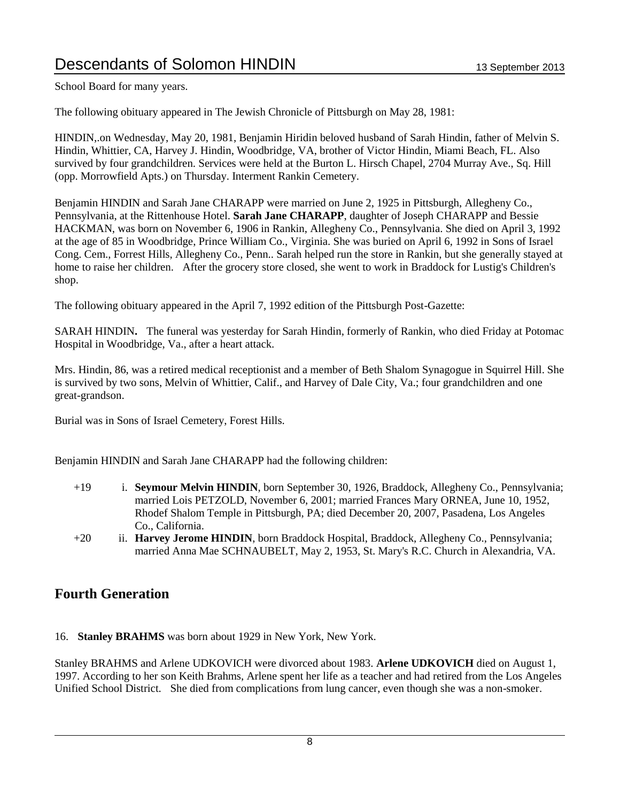School Board for many years.

The following obituary appeared in The Jewish Chronicle of Pittsburgh on May 28, 1981:

HINDIN,.on Wednesday, May 20, 1981, Benjamin Hiridin beloved husband of Sarah Hindin, father of Melvin S. Hindin, Whittier, CA, Harvey J. Hindin, Woodbridge, VA, brother of Victor Hindin, Miami Beach, FL. Also survived by four grandchildren. Services were held at the Burton L. Hirsch Chapel, 2704 Murray Ave., Sq. Hill (opp. Morrowfield Apts.) on Thursday. Interment Rankin Cemetery.

Benjamin HINDIN and Sarah Jane CHARAPP were married on June 2, 1925 in Pittsburgh, Allegheny Co., Pennsylvania, at the Rittenhouse Hotel. **Sarah Jane CHARAPP**, daughter of Joseph CHARAPP and Bessie HACKMAN, was born on November 6, 1906 in Rankin, Allegheny Co., Pennsylvania. She died on April 3, 1992 at the age of 85 in Woodbridge, Prince William Co., Virginia. She was buried on April 6, 1992 in Sons of Israel Cong. Cem., Forrest Hills, Allegheny Co., Penn.. Sarah helped run the store in Rankin, but she generally stayed at home to raise her children. After the grocery store closed, she went to work in Braddock for Lustig's Children's shop.

The following obituary appeared in the April 7, 1992 edition of the Pittsburgh Post-Gazette:

SARAH HINDIN**.** The funeral was yesterday for Sarah Hindin, formerly of Rankin, who died Friday at Potomac Hospital in Woodbridge, Va., after a heart attack.

Mrs. Hindin, 86, was a retired medical receptionist and a member of Beth Shalom Synagogue in Squirrel Hill. She is survived by two sons, Melvin of Whittier, Calif., and Harvey of Dale City, Va.; four grandchildren and one great-grandson.

Burial was in Sons of Israel Cemetery, Forest Hills.

Benjamin HINDIN and Sarah Jane CHARAPP had the following children:

- +19 i. **Seymour Melvin HINDIN**, born September 30, 1926, Braddock, Allegheny Co., Pennsylvania; married Lois PETZOLD, November 6, 2001; married Frances Mary ORNEA, June 10, 1952, Rhodef Shalom Temple in Pittsburgh, PA; died December 20, 2007, Pasadena, Los Angeles Co., California.
- +20 ii. **Harvey Jerome HINDIN**, born Braddock Hospital, Braddock, Allegheny Co., Pennsylvania; married Anna Mae SCHNAUBELT, May 2, 1953, St. Mary's R.C. Church in Alexandria, VA.

### **Fourth Generation**

16. **Stanley BRAHMS** was born about 1929 in New York, New York.

Stanley BRAHMS and Arlene UDKOVICH were divorced about 1983. **Arlene UDKOVICH** died on August 1, 1997. According to her son Keith Brahms, Arlene spent her life as a teacher and had retired from the Los Angeles Unified School District. She died from complications from lung cancer, even though she was a non-smoker.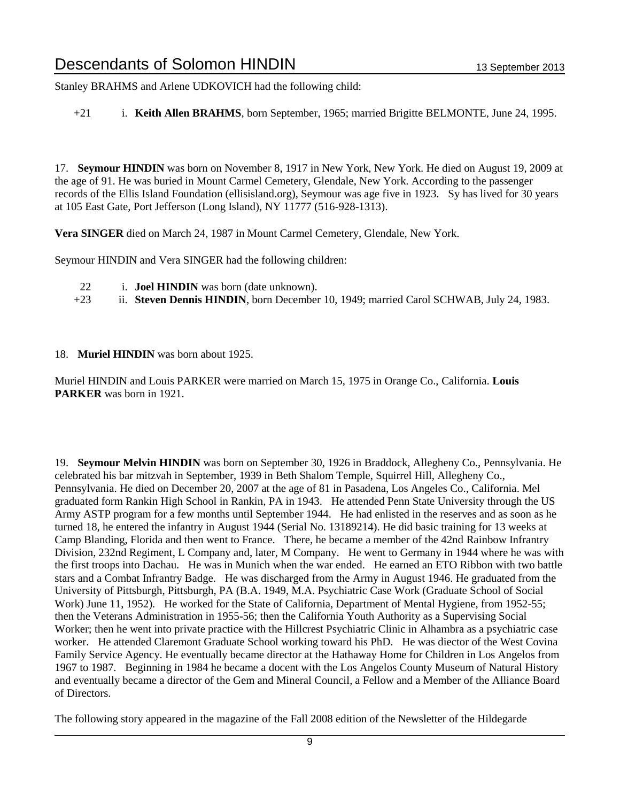Stanley BRAHMS and Arlene UDKOVICH had the following child:

+21 i. **Keith Allen BRAHMS**, born September, 1965; married Brigitte BELMONTE, June 24, 1995.

17. **Seymour HINDIN** was born on November 8, 1917 in New York, New York. He died on August 19, 2009 at the age of 91. He was buried in Mount Carmel Cemetery, Glendale, New York. According to the passenger records of the Ellis Island Foundation (ellisisland.org), Seymour was age five in 1923. Sy has lived for 30 years at 105 East Gate, Port Jefferson (Long Island), NY 11777 (516-928-1313).

**Vera SINGER** died on March 24, 1987 in Mount Carmel Cemetery, Glendale, New York.

Seymour HINDIN and Vera SINGER had the following children:

- 22 i. **Joel HINDIN** was born (date unknown).
- +23 ii. **Steven Dennis HINDIN**, born December 10, 1949; married Carol SCHWAB, July 24, 1983.
- 18. **Muriel HINDIN** was born about 1925.

Muriel HINDIN and Louis PARKER were married on March 15, 1975 in Orange Co., California. **Louis PARKER** was born in 1921.

19. **Seymour Melvin HINDIN** was born on September 30, 1926 in Braddock, Allegheny Co., Pennsylvania. He celebrated his bar mitzvah in September, 1939 in Beth Shalom Temple, Squirrel Hill, Allegheny Co., Pennsylvania. He died on December 20, 2007 at the age of 81 in Pasadena, Los Angeles Co., California. Mel graduated form Rankin High School in Rankin, PA in 1943. He attended Penn State University through the US Army ASTP program for a few months until September 1944. He had enlisted in the reserves and as soon as he turned 18, he entered the infantry in August 1944 (Serial No. 13189214). He did basic training for 13 weeks at Camp Blanding, Florida and then went to France. There, he became a member of the 42nd Rainbow Infrantry Division, 232nd Regiment, L Company and, later, M Company. He went to Germany in 1944 where he was with the first troops into Dachau. He was in Munich when the war ended. He earned an ETO Ribbon with two battle stars and a Combat Infrantry Badge. He was discharged from the Army in August 1946. He graduated from the University of Pittsburgh, Pittsburgh, PA (B.A. 1949, M.A. Psychiatric Case Work (Graduate School of Social Work) June 11, 1952). He worked for the State of California, Department of Mental Hygiene, from 1952-55; then the Veterans Administration in 1955-56; then the California Youth Authority as a Supervising Social Worker; then he went into private practice with the Hillcrest Psychiatric Clinic in Alhambra as a psychiatric case worker. He attended Claremont Graduate School working toward his PhD. He was diector of the West Covina Family Service Agency. He eventually became director at the Hathaway Home for Children in Los Angelos from 1967 to 1987. Beginning in 1984 he became a docent with the Los Angelos County Museum of Natural History and eventually became a director of the Gem and Mineral Council, a Fellow and a Member of the Alliance Board of Directors.

The following story appeared in the magazine of the Fall 2008 edition of the Newsletter of the Hildegarde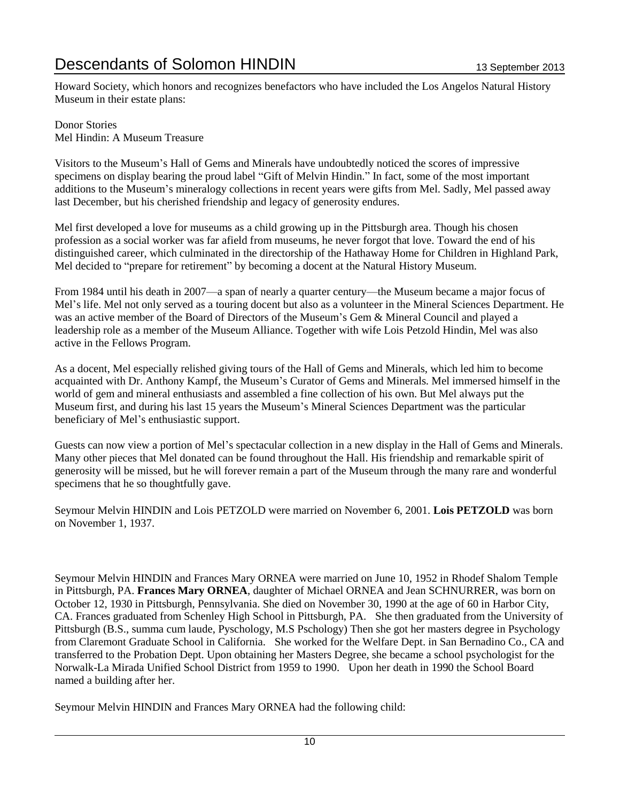Howard Society, which honors and recognizes benefactors who have included the Los Angelos Natural History Museum in their estate plans:

Donor Stories Mel Hindin: A Museum Treasure

Visitors to the Museum's Hall of Gems and Minerals have undoubtedly noticed the scores of impressive specimens on display bearing the proud label "Gift of Melvin Hindin." In fact, some of the most important additions to the Museum's mineralogy collections in recent years were gifts from Mel. Sadly, Mel passed away last December, but his cherished friendship and legacy of generosity endures.

Mel first developed a love for museums as a child growing up in the Pittsburgh area. Though his chosen profession as a social worker was far afield from museums, he never forgot that love. Toward the end of his distinguished career, which culminated in the directorship of the Hathaway Home for Children in Highland Park, Mel decided to "prepare for retirement" by becoming a docent at the Natural History Museum.

From 1984 until his death in 2007—a span of nearly a quarter century—the Museum became a major focus of Mel's life. Mel not only served as a touring docent but also as a volunteer in the Mineral Sciences Department. He was an active member of the Board of Directors of the Museum's Gem & Mineral Council and played a leadership role as a member of the Museum Alliance. Together with wife Lois Petzold Hindin, Mel was also active in the Fellows Program.

As a docent, Mel especially relished giving tours of the Hall of Gems and Minerals, which led him to become acquainted with Dr. Anthony Kampf, the Museum's Curator of Gems and Minerals. Mel immersed himself in the world of gem and mineral enthusiasts and assembled a fine collection of his own. But Mel always put the Museum first, and during his last 15 years the Museum's Mineral Sciences Department was the particular beneficiary of Mel's enthusiastic support.

Guests can now view a portion of Mel's spectacular collection in a new display in the Hall of Gems and Minerals. Many other pieces that Mel donated can be found throughout the Hall. His friendship and remarkable spirit of generosity will be missed, but he will forever remain a part of the Museum through the many rare and wonderful specimens that he so thoughtfully gave.

Seymour Melvin HINDIN and Lois PETZOLD were married on November 6, 2001. **Lois PETZOLD** was born on November 1, 1937.

Seymour Melvin HINDIN and Frances Mary ORNEA were married on June 10, 1952 in Rhodef Shalom Temple in Pittsburgh, PA. **Frances Mary ORNEA**, daughter of Michael ORNEA and Jean SCHNURRER, was born on October 12, 1930 in Pittsburgh, Pennsylvania. She died on November 30, 1990 at the age of 60 in Harbor City, CA. Frances graduated from Schenley High School in Pittsburgh, PA. She then graduated from the University of Pittsburgh (B.S., summa cum laude, Pyschology, M.S Pschology) Then she got her masters degree in Psychology from Claremont Graduate School in California. She worked for the Welfare Dept. in San Bernadino Co., CA and transferred to the Probation Dept. Upon obtaining her Masters Degree, she became a school psychologist for the Norwalk-La Mirada Unified School District from 1959 to 1990. Upon her death in 1990 the School Board named a building after her.

Seymour Melvin HINDIN and Frances Mary ORNEA had the following child: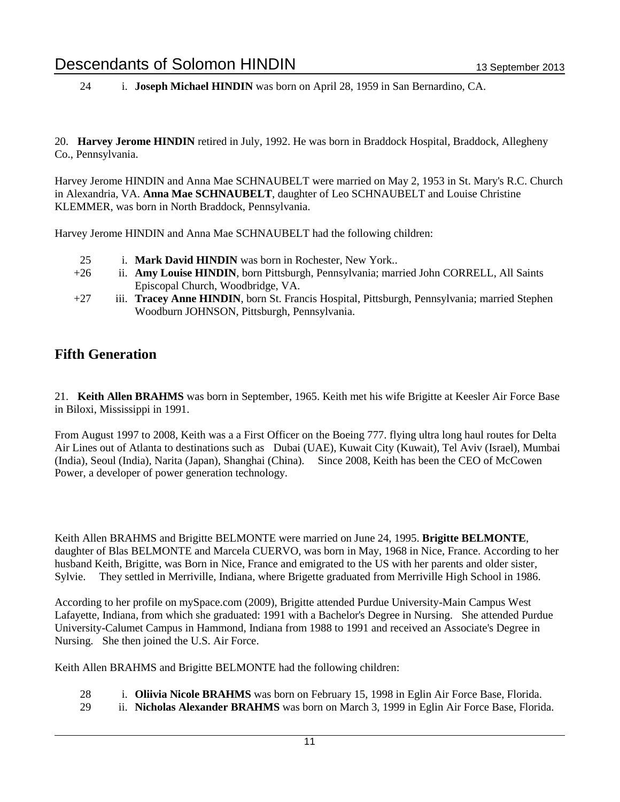24 i. **Joseph Michael HINDIN** was born on April 28, 1959 in San Bernardino, CA.

20. **Harvey Jerome HINDIN** retired in July, 1992. He was born in Braddock Hospital, Braddock, Allegheny Co., Pennsylvania.

Harvey Jerome HINDIN and Anna Mae SCHNAUBELT were married on May 2, 1953 in St. Mary's R.C. Church in Alexandria, VA. **Anna Mae SCHNAUBELT**, daughter of Leo SCHNAUBELT and Louise Christine KLEMMER, was born in North Braddock, Pennsylvania.

Harvey Jerome HINDIN and Anna Mae SCHNAUBELT had the following children:

- 25 i. **Mark David HINDIN** was born in Rochester, New York..
- +26 ii. **Amy Louise HINDIN**, born Pittsburgh, Pennsylvania; married John CORRELL, All Saints Episcopal Church, Woodbridge, VA.
- +27 iii. **Tracey Anne HINDIN**, born St. Francis Hospital, Pittsburgh, Pennsylvania; married Stephen Woodburn JOHNSON, Pittsburgh, Pennsylvania.

## **Fifth Generation**

21. **Keith Allen BRAHMS** was born in September, 1965. Keith met his wife Brigitte at Keesler Air Force Base in Biloxi, Mississippi in 1991.

From August 1997 to 2008, Keith was a a First Officer on the Boeing 777. flying ultra long haul routes for Delta Air Lines out of Atlanta to destinations such as Dubai (UAE), Kuwait City (Kuwait), Tel Aviv (Israel), Mumbai (India), Seoul (India), Narita (Japan), Shanghai (China). Since 2008, Keith has been the CEO of McCowen Power, a developer of power generation technology.

Keith Allen BRAHMS and Brigitte BELMONTE were married on June 24, 1995. **Brigitte BELMONTE**, daughter of Blas BELMONTE and Marcela CUERVO, was born in May, 1968 in Nice, France. According to her husband Keith, Brigitte, was Born in Nice, France and emigrated to the US with her parents and older sister, Sylvie. They settled in Merriville, Indiana, where Brigette graduated from Merriville High School in 1986.

According to her profile on mySpace.com (2009), Brigitte attended Purdue University-Main Campus West Lafayette, Indiana, from which she graduated: 1991 with a Bachelor's Degree in Nursing. She attended Purdue University-Calumet Campus in Hammond, Indiana from 1988 to 1991 and received an Associate's Degree in Nursing. She then joined the U.S. Air Force.

Keith Allen BRAHMS and Brigitte BELMONTE had the following children:

- 28 i. **Oliivia Nicole BRAHMS** was born on February 15, 1998 in Eglin Air Force Base, Florida.
- 29 ii. **Nicholas Alexander BRAHMS** was born on March 3, 1999 in Eglin Air Force Base, Florida.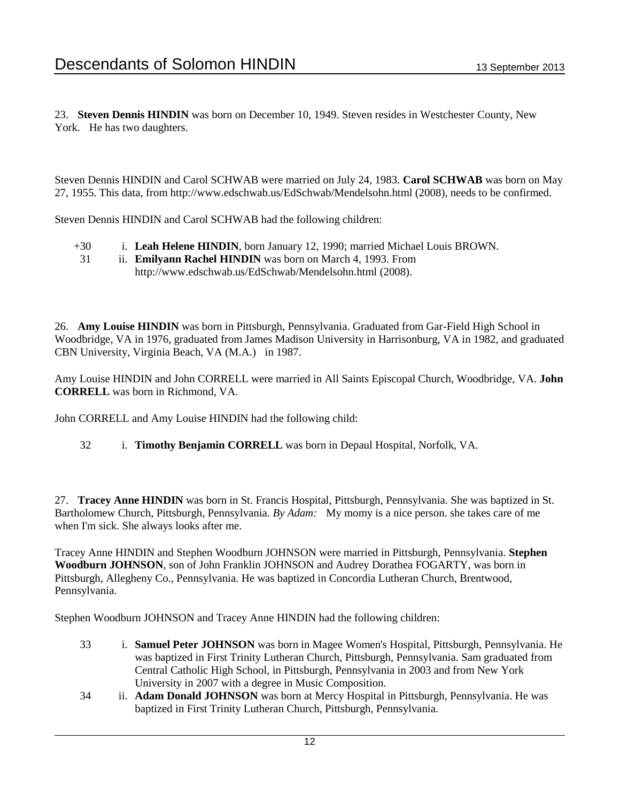23. **Steven Dennis HINDIN** was born on December 10, 1949. Steven resides in Westchester County, New York. He has two daughters.

Steven Dennis HINDIN and Carol SCHWAB were married on July 24, 1983. **Carol SCHWAB** was born on May 27, 1955. This data, from http://www.edschwab.us/EdSchwab/Mendelsohn.html (2008), needs to be confirmed.

Steven Dennis HINDIN and Carol SCHWAB had the following children:

- +30 i. **Leah Helene HINDIN**, born January 12, 1990; married Michael Louis BROWN.
- 31 ii. **Emilyann Rachel HINDIN** was born on March 4, 1993. From http://www.edschwab.us/EdSchwab/Mendelsohn.html (2008).

26. **Amy Louise HINDIN** was born in Pittsburgh, Pennsylvania. Graduated from Gar-Field High School in Woodbridge, VA in 1976, graduated from James Madison University in Harrisonburg, VA in 1982, and graduated CBN University, Virginia Beach, VA (M.A.) in 1987.

Amy Louise HINDIN and John CORRELL were married in All Saints Episcopal Church, Woodbridge, VA. **John CORRELL** was born in Richmond, VA.

John CORRELL and Amy Louise HINDIN had the following child:

32 i. **Timothy Benjamin CORRELL** was born in Depaul Hospital, Norfolk, VA.

27. **Tracey Anne HINDIN** was born in St. Francis Hospital, Pittsburgh, Pennsylvania. She was baptized in St. Bartholomew Church, Pittsburgh, Pennsylvania. *By Adam:* My momy is a nice person. she takes care of me when I'm sick. She always looks after me.

Tracey Anne HINDIN and Stephen Woodburn JOHNSON were married in Pittsburgh, Pennsylvania. **Stephen Woodburn JOHNSON**, son of John Franklin JOHNSON and Audrey Dorathea FOGARTY, was born in Pittsburgh, Allegheny Co., Pennsylvania. He was baptized in Concordia Lutheran Church, Brentwood, Pennsylvania.

Stephen Woodburn JOHNSON and Tracey Anne HINDIN had the following children:

- 33 i. **Samuel Peter JOHNSON** was born in Magee Women's Hospital, Pittsburgh, Pennsylvania. He was baptized in First Trinity Lutheran Church, Pittsburgh, Pennsylvania. Sam graduated from Central Catholic High School, in Pittsburgh, Pennsylvania in 2003 and from New York University in 2007 with a degree in Music Composition.
- 34 ii. **Adam Donald JOHNSON** was born at Mercy Hospital in Pittsburgh, Pennsylvania. He was baptized in First Trinity Lutheran Church, Pittsburgh, Pennsylvania.